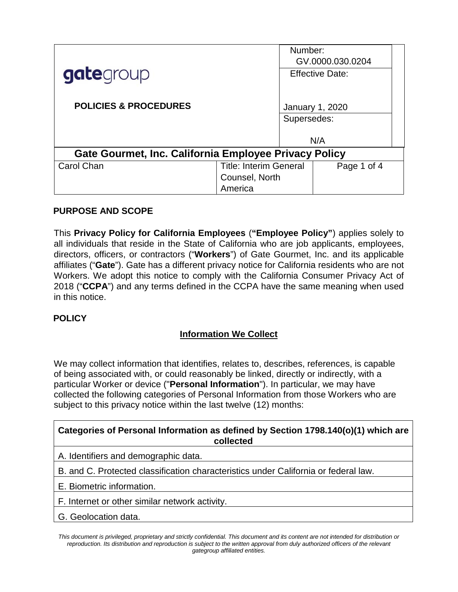|                                                       |                               | Number:                |                        |  |  |
|-------------------------------------------------------|-------------------------------|------------------------|------------------------|--|--|
|                                                       |                               |                        | GV.0000.030.0204       |  |  |
| gategroup                                             |                               |                        | <b>Effective Date:</b> |  |  |
|                                                       |                               |                        |                        |  |  |
|                                                       |                               |                        |                        |  |  |
| <b>POLICIES &amp; PROCEDURES</b>                      |                               | <b>January 1, 2020</b> |                        |  |  |
|                                                       |                               | Supersedes:            |                        |  |  |
|                                                       |                               |                        |                        |  |  |
|                                                       |                               |                        | N/A                    |  |  |
| Gate Gourmet, Inc. California Employee Privacy Policy |                               |                        |                        |  |  |
| Carol Chan                                            | <b>Title: Interim General</b> |                        | Page 1 of 4            |  |  |
|                                                       | Counsel, North                |                        |                        |  |  |
|                                                       | America                       |                        |                        |  |  |

## **PURPOSE AND SCOPE**

This **Privacy Policy for California Employees** (**"Employee Policy"**) applies solely to all individuals that reside in the State of California who are job applicants, employees, directors, officers, or contractors ("**Workers**") of Gate Gourmet, Inc. and its applicable affiliates ("**Gate**"). Gate has a different privacy notice for California residents who are not Workers. We adopt this notice to comply with the California Consumer Privacy Act of 2018 ("**CCPA**") and any terms defined in the CCPA have the same meaning when used in this notice.

## **POLICY**

## **Information We Collect**

We may collect information that identifies, relates to, describes, references, is capable of being associated with, or could reasonably be linked, directly or indirectly, with a particular Worker or device ("**Personal Information**"). In particular, we may have collected the following categories of Personal Information from those Workers who are subject to this privacy notice within the last twelve (12) months:

## **Categories of Personal Information as defined by Section 1798.140(o)(1) which are collected**

A. Identifiers and demographic data.

B. and C. Protected classification characteristics under California or federal law.

E. Biometric information.

F. Internet or other similar network activity.

G. Geolocation data.

*This document is privileged, proprietary and strictly confidential. This document and its content are not intended for distribution or reproduction. Its distribution and reproduction is subject to the written approval from duly authorized officers of the relevant gategroup affiliated entities.*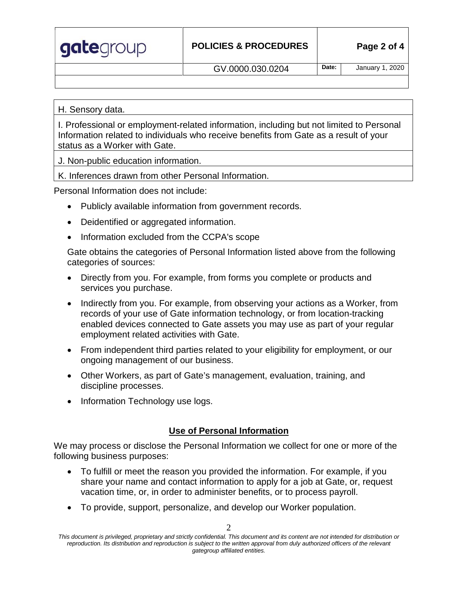| gategroup | <b>POLICIES &amp; PROCEDURES</b> | Page 2 of 4 |                 |
|-----------|----------------------------------|-------------|-----------------|
|           | GV.0000.030.0204                 | Date:       | January 1, 2020 |
|           |                                  |             |                 |

H. Sensory data.

I. Professional or employment-related information, including but not limited to Personal Information related to individuals who receive benefits from Gate as a result of your status as a Worker with Gate.

J. Non-public education information.

K. Inferences drawn from other Personal Information.

Personal Information does not include:

- Publicly available information from government records.
- Deidentified or aggregated information.
- Information excluded from the CCPA's scope

Gate obtains the categories of Personal Information listed above from the following categories of sources:

- Directly from you. For example, from forms you complete or products and services you purchase.
- Indirectly from you. For example, from observing your actions as a Worker, from records of your use of Gate information technology, or from location-tracking enabled devices connected to Gate assets you may use as part of your regular employment related activities with Gate.
- From independent third parties related to your eligibility for employment, or our ongoing management of our business.
- Other Workers, as part of Gate's management, evaluation, training, and discipline processes.
- Information Technology use logs.

# **Use of Personal Information**

We may process or disclose the Personal Information we collect for one or more of the following business purposes:

- To fulfill or meet the reason you provided the information. For example, if you share your name and contact information to apply for a job at Gate, or, request vacation time, or, in order to administer benefits, or to process payroll.
- To provide, support, personalize, and develop our Worker population.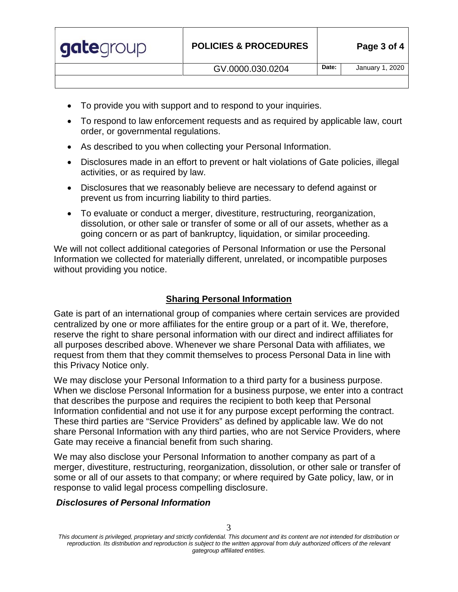| gategroup | <b>POLICIES &amp; PROCEDURES</b> |       | Page 3 of 4     |  |
|-----------|----------------------------------|-------|-----------------|--|
|           | GV.0000.030.0204                 | Date: | January 1, 2020 |  |
|           |                                  |       |                 |  |

- To provide you with support and to respond to your inquiries.
- To respond to law enforcement requests and as required by applicable law, court order, or governmental regulations.
- As described to you when collecting your Personal Information.
- Disclosures made in an effort to prevent or halt violations of Gate policies, illegal activities, or as required by law.
- Disclosures that we reasonably believe are necessary to defend against or prevent us from incurring liability to third parties.
- To evaluate or conduct a merger, divestiture, restructuring, reorganization, dissolution, or other sale or transfer of some or all of our assets, whether as a going concern or as part of bankruptcy, liquidation, or similar proceeding.

We will not collect additional categories of Personal Information or use the Personal Information we collected for materially different, unrelated, or incompatible purposes without providing you notice.

# **Sharing Personal Information**

Gate is part of an international group of companies where certain services are provided centralized by one or more affiliates for the entire group or a part of it. We, therefore, reserve the right to share personal information with our direct and indirect affiliates for all purposes described above. Whenever we share Personal Data with affiliates, we request from them that they commit themselves to process Personal Data in line with this Privacy Notice only.

We may disclose your Personal Information to a third party for a business purpose. When we disclose Personal Information for a business purpose, we enter into a contract that describes the purpose and requires the recipient to both keep that Personal Information confidential and not use it for any purpose except performing the contract. These third parties are "Service Providers" as defined by applicable law. We do not share Personal Information with any third parties, who are not Service Providers, where Gate may receive a financial benefit from such sharing.

We may also disclose your Personal Information to another company as part of a merger, divestiture, restructuring, reorganization, dissolution, or other sale or transfer of some or all of our assets to that company; or where required by Gate policy, law, or in response to valid legal process compelling disclosure.

# *Disclosures of Personal Information*

*This document is privileged, proprietary and strictly confidential. This document and its content are not intended for distribution or reproduction. Its distribution and reproduction is subject to the written approval from duly authorized officers of the relevant gategroup affiliated entities.*